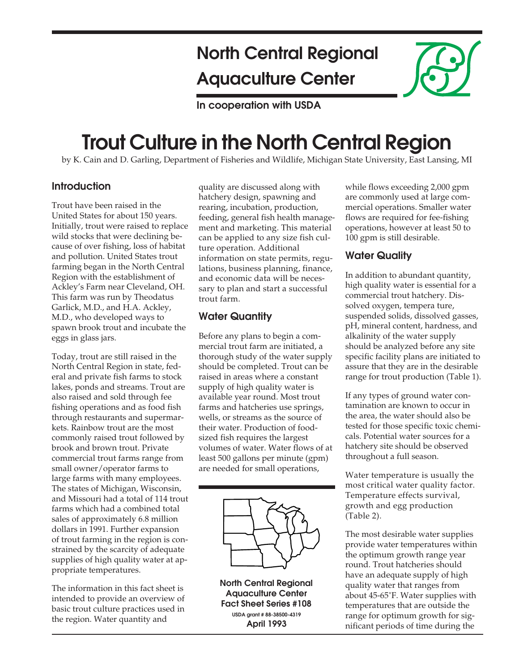## **North Central Regional Aquaculture Center**

**In cooperation with USDA**

# **Trout Culture in the North Central Region**

by K. Cain and D. Garling, Department of Fisheries and Wildlife, Michigan State University, East Lansing, MI

#### **Introduction**

Trout have been raised in the United States for about 150 years. Initially, trout were raised to replace wild stocks that were declining because of over fishing, loss of habitat and pollution. United States trout farming began in the North Central Region with the establishment of Ackley's Farm near Cleveland, OH. This farm was run by Theodatus Garlick, M.D., and H.A. Ackley, M.D., who developed ways to spawn brook trout and incubate the eggs in glass jars.

Today, trout are still raised in the North Central Region in state, federal and private fish farms to stock lakes, ponds and streams. Trout are also raised and sold through fee fishing operations and as food fish through restaurants and supermarkets. Rainbow trout are the most commonly raised trout followed by brook and brown trout. Private commercial trout farms range from small owner/operator farms to large farms with many employees. The states of Michigan, Wisconsin, and Missouri had a total of 114 trout farms which had a combined total sales of approximately 6.8 million dollars in 1991. Further expansion of trout farming in the region is constrained by the scarcity of adequate supplies of high quality water at appropriate temperatures.

The information in this fact sheet is intended to provide an overview of basic trout culture practices used in the region. Water quantity and

quality are discussed along with hatchery design, spawning and rearing, incubation, production, feeding, general fish health management and marketing. This material can be applied to any size fish culture operation. Additional information on state permits, regulations, business planning, finance, and economic data will be necessary to plan and start a successful trout farm.

#### **Water Quantity**

Before any plans to begin a commercial trout farm are initiated, a thorough study of the water supply should be completed. Trout can be raised in areas where a constant supply of high quality water is available year round. Most trout farms and hatcheries use springs, wells, or streams as the source of their water. Production of foodsized fish requires the largest volumes of water. Water flows of at least 500 gallons per minute (gpm) are needed for small operations,



**North Central Regional Aquaculture Center Fact Sheet Series #108 USDA grant # 88-38500-4319 April 1993**

while flows exceeding 2,000 gpm are commonly used at large commercial operations. Smaller water flows are required for fee-fishing operations, however at least 50 to 100 gpm is still desirable.

## **Water Quality**

In addition to abundant quantity, high quality water is essential for a commercial trout hatchery. Dissolved oxygen, tempera ture, suspended solids, dissolved gasses, pH, mineral content, hardness, and alkalinity of the water supply should be analyzed before any site specific facility plans are initiated to assure that they are in the desirable range for trout production (Table 1).

If any types of ground water contamination are known to occur in the area, the water should also be tested for those specific toxic chemicals. Potential water sources for a hatchery site should be observed throughout a full season.

Water temperature is usually the most critical water quality factor. Temperature effects survival, growth and egg production (Table 2).

The most desirable water supplies provide water temperatures within the optimum growth range year round. Trout hatcheries should have an adequate supply of high quality water that ranges from about 45-65˚F. Water supplies with temperatures that are outside the range for optimum growth for significant periods of time during the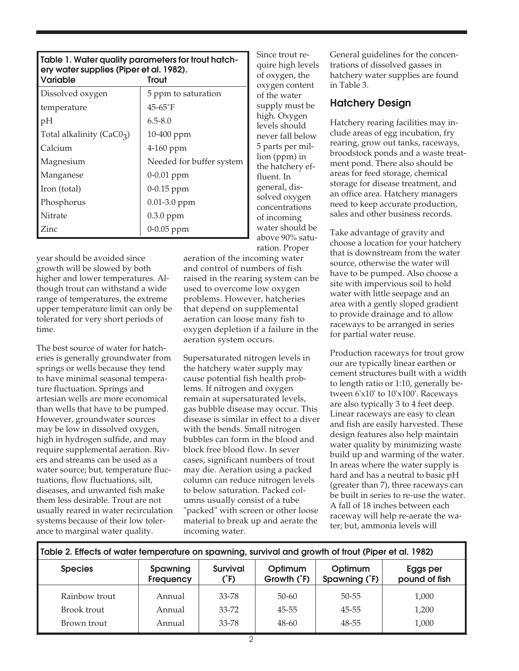| Table 1. Water quality parameters for trout hatch-<br>ery water supplies (Piper et al. 1982).<br><b>Variable</b><br>Trout |                          |  |  |
|---------------------------------------------------------------------------------------------------------------------------|--------------------------|--|--|
| Dissolved oxygen                                                                                                          | 5 ppm to saturation      |  |  |
| temperature                                                                                                               | $45 - 65$ °F             |  |  |
| pH                                                                                                                        | $6.5 - 8.0$              |  |  |
| Total alkalinity ( $CaCO3$ )                                                                                              | 10-400 ppm               |  |  |
| Calcium                                                                                                                   | 4-160 ppm                |  |  |
| Magnesium                                                                                                                 | Needed for buffer system |  |  |
| Manganese                                                                                                                 | 0-0.01 ppm               |  |  |
| Iron (total)                                                                                                              | $0-0.15$ ppm             |  |  |
| Phosphorus                                                                                                                | $0.01 - 3.0$ ppm         |  |  |
| Nitrate                                                                                                                   | $0.3.0$ ppm              |  |  |
| Zinc                                                                                                                      | $0 - 0.05$ ppm           |  |  |

year should be avoided since growth will be slowed by both higher and lower temperatures. Although trout can withstand a wide range of temperatures, the extreme upper temperature limit can only be tolerated for very short periods of time.

The best source of water for hatcheries is generally groundwater from springs or wells because they tend to have minimal seasonal temperature fluctuation. Springs and artesian wells are more economical than wells that have to be pumped. However, groundwater sources may be low in dissolved oxygen, high in hydrogen sulfide, and may require supplemental aeration. Rivers and streams can be used as a water source; but, temperature fluctuations, flow fluctuations, silt, diseases, and unwanted fish make them less desirable. Trout are not usually reared in water recirculation systems because of their low tolerance to marginal water quality.

Since trout require high levels of oxygen, the oxygen content of the water supply must be high. Oxygen levels should never fall below 5 parts per million (ppm) in the hatchery effluent. In general, dissolved oxygen concentrations of incoming water should be above 90% saturation. Proper

aeration of the incoming water and control of numbers of fish raised in the rearing system can be used to overcome low oxygen problems. However, hatcheries that depend on supplemental aeration can loose many fish to oxygen depletion if a failure in the aeration system occurs.

Supersaturated nitrogen levels in the hatchery water supply may cause potential fish health problems. If nitrogen and oxygen remain at supersaturated levels, gas bubble disease may occur. This disease is similar in effect to a diver with the bends. Small nitrogen bubbles can form in the blood and block free blood flow. In sever cases, significant numbers of trout may die. Aeration using a packed column can reduce nitrogen levels to below saturation. Packed columns usually consist of a tube "packed" with screen or other loose material to break up and aerate the incoming water.

General guidelines for the concentrations of dissolved gasses in hatchery water supplies are found in Table 3.

#### **Hatchery Design**

Hatchery rearing facilities may include areas of egg incubation, fry rearing, grow out tanks, raceways, broodstock ponds and a waste treatment pond. There also should be areas for feed storage, chemical storage for disease treatment, and an office area. Hatchery managers need to keep accurate production, sales and other business records.

Take advantage of gravity and choose a location for your hatchery that is downstream from the water source, otherwise the water will have to be pumped. Also choose a site with impervious soil to hold water with little seepage and an area with a gently sloped gradient to provide drainage and to allow raceways to be arranged in series for partial water reuse.

Production raceways for trout grow our are typically linear earthen or cement structures built with a width to length ratio or 1:10, generally between 6'x10' to 10'x100'. Raceways are also typically 3 to 4 feet deep. Linear raceways are easy to clean and fish are easily harvested. These design features also help maintain water quality by minimizing waste build up and warming of the water. In areas where the water supply is hard and has a neutral to basic pH (greater than 7), three raceways can be built in series to re-use the water. A fall of 18 inches between each raceway will help re-aerate the water; but, ammonia levels will

| Table 2. Effects of water temperature on spawning, survival and growth of trout (Piper et al. 1982) |                                                                     |           |                        |                          |                           |  |  |
|-----------------------------------------------------------------------------------------------------|---------------------------------------------------------------------|-----------|------------------------|--------------------------|---------------------------|--|--|
| <b>Species</b>                                                                                      | <b>Survival</b><br><b>Spawning</b><br>$\hat{F}$<br><b>Frequency</b> |           | Optimum<br>Growth (°F) | Optimum<br>Spawning (°F) | Eggs per<br>pound of fish |  |  |
| Rainbow trout                                                                                       | Annual                                                              | 33-78     | $50 - 60$              | $50 - 55$                | 1,000                     |  |  |
| Brook trout                                                                                         | Annual                                                              | $33 - 72$ | $45 - 55$              | $45 - 55$                | 1,200                     |  |  |
| Brown trout                                                                                         | Annual                                                              | 33-78     | $48 - 60$              | 48-55                    | 1,000                     |  |  |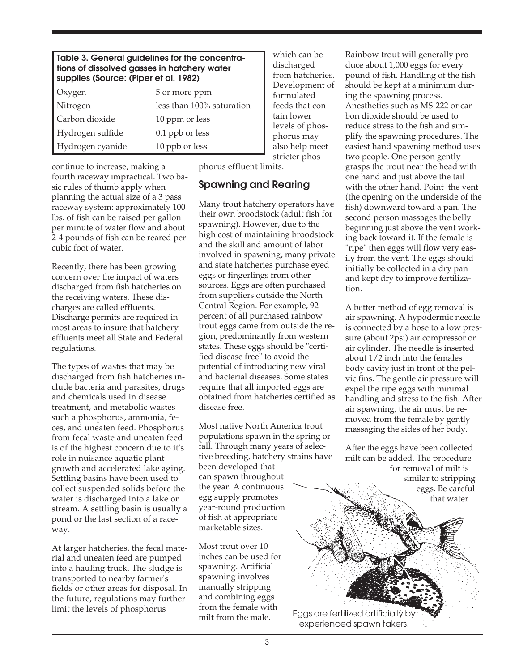| Table 3. General guidelines for the concentra-<br>tions of dissolved gasses in hatchery water<br>supplies (Source: (Piper et al. 1982) |                           |  |  |  |
|----------------------------------------------------------------------------------------------------------------------------------------|---------------------------|--|--|--|
| Oxygen                                                                                                                                 | 5 or more ppm             |  |  |  |
| Nitrogen                                                                                                                               | less than 100% saturation |  |  |  |
| Carbon dioxide                                                                                                                         | 10 ppm or less            |  |  |  |
| Hydrogen sulfide                                                                                                                       | 0.1 ppb or less           |  |  |  |
| Hydrogen cyanide                                                                                                                       | 10 ppb or less            |  |  |  |

continue to increase, making a fourth raceway impractical. Two basic rules of thumb apply when planning the actual size of a 3 pass raceway system: approximately 100 lbs. of fish can be raised per gallon per minute of water flow and about 2-4 pounds of fish can be reared per cubic foot of water.

Recently, there has been growing concern over the impact of waters discharged from fish hatcheries on the receiving waters. These discharges are called effluents. Discharge permits are required in most areas to insure that hatchery effluents meet all State and Federal regulations.

The types of wastes that may be discharged from fish hatcheries include bacteria and parasites, drugs and chemicals used in disease treatment, and metabolic wastes such a phosphorus, ammonia, feces, and uneaten feed. Phosphorus from fecal waste and uneaten feed is of the highest concern due to it's role in nuisance aquatic plant growth and accelerated lake aging. Settling basins have been used to collect suspended solids before the water is discharged into a lake or stream. A settling basin is usually a pond or the last section of a raceway.

At larger hatcheries, the fecal material and uneaten feed are pumped into a hauling truck. The sludge is transported to nearby farmer's fields or other areas for disposal. In the future, regulations may further limit the levels of phosphorus

which can be discharged from hatcheries. Development of formulated feeds that contain lower levels of phosphorus may also help meet stricter phos-

phorus effluent limits.

## **Spawning and Rearing**

Many trout hatchery operators have their own broodstock (adult fish for spawning). However, due to the high cost of maintaining broodstock and the skill and amount of labor involved in spawning, many private and state hatcheries purchase eyed eggs or fingerlings from other sources. Eggs are often purchased from suppliers outside the North Central Region. For example, 92 percent of all purchased rainbow trout eggs came from outside the region, predominantly from western states. These eggs should be "certified disease free" to avoid the potential of introducing new viral and bacterial diseases. Some states require that all imported eggs are obtained from hatcheries certified as disease free.

Most native North America trout populations spawn in the spring or fall. Through many years of selective breeding, hatchery strains have been developed that can spawn throughout the year. A continuous egg supply promotes year-round production of fish at appropriate marketable sizes.

Most trout over 10 inches can be used for spawning. Artificial spawning involves manually stripping and combining eggs from the female with milt from the male.

Rainbow trout will generally produce about 1,000 eggs for every pound of fish. Handling of the fish should be kept at a minimum during the spawning process. Anesthetics such as MS-222 or carbon dioxide should be used to reduce stress to the fish and simplify the spawning procedures. The easiest hand spawning method uses two people. One person gently grasps the trout near the head with one hand and just above the tail with the other hand. Point the vent (the opening on the underside of the fish) downward toward a pan. The second person massages the belly beginning just above the vent working back toward it. If the female is "ripe" then eggs will flow very easily from the vent. The eggs should initially be collected in a dry pan and kept dry to improve fertilization.

A better method of egg removal is air spawning. A hypodermic needle is connected by a hose to a low pressure (about 2psi) air compressor or air cylinder. The needle is inserted about 1/2 inch into the females body cavity just in front of the pelvic fins. The gentle air pressure will expel the ripe eggs with minimal handling and stress to the fish. After air spawning, the air must be removed from the female by gently massaging the sides of her body.

After the eggs have been collected. milt can be added. The procedure for removal of milt is similar to stripping eggs. Be careful that water

Eggs are fertilized artificially by experienced spawn takers.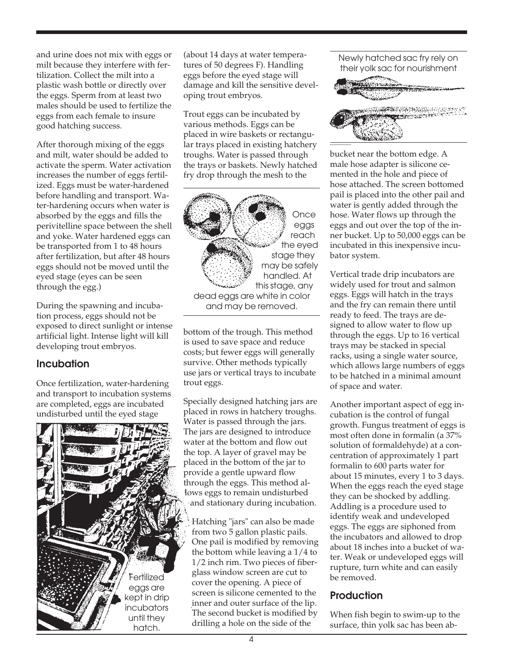and urine does not mix with eggs or milt because they interfere with fertilization. Collect the milt into a plastic wash bottle or directly over the eggs. Sperm from at least two males should be used to fertilize the eggs from each female to insure good hatching success.

After thorough mixing of the eggs and milt, water should be added to activate the sperm. Water activation increases the number of eggs fertilized. Eggs must be water-hardened before handling and transport. Water-hardening occurs when water is absorbed by the eggs and fills the perivitelline space between the shell and yoke. Water hardened eggs can be transported from 1 to 48 hours after fertilization, but after 48 hours eggs should not be moved until the eyed stage (eyes can be seen through the egg.)

During the spawning and incubation process, eggs should not be exposed to direct sunlight or intense artificial light. Intense light will kill developing trout embryos.

## **Incubation**

Once fertilization, water-hardening and transport to incubation systems are completed, eggs are incubated undisturbed until the eyed stage



(about 14 days at water temperatures of 50 degrees F). Handling eggs before the eyed stage will damage and kill the sensitive developing trout embryos.

Trout eggs can be incubated by various methods. Eggs can be placed in wire baskets or rectangular trays placed in existing hatchery troughs. Water is passed through the trays or baskets. Newly hatched fry drop through the mesh to the



bottom of the trough. This method is used to save space and reduce costs; but fewer eggs will generally survive. Other methods typically use jars or vertical trays to incubate trout eggs.

Specially designed hatching jars are placed in rows in hatchery troughs. Water is passed through the jars. The jars are designed to introduce water at the bottom and flow out the top. A layer of gravel may be placed in the bottom of the jar to provide a gentle upward flow through the eggs. This method allows eggs to remain undisturbed and stationary during incubation.

Hatching "jars" can also be made from two 5 gallon plastic pails. One pail is modified by removing the bottom while leaving a 1/4 to 1/2 inch rim. Two pieces of fiberglass window screen are cut to cover the opening. A piece of screen is silicone cemented to the inner and outer surface of the lip. The second bucket is modified by drilling a hole on the side of the

Newly hatched sac fry rely on their yolk sac for nourishment



bucket near the bottom edge. A male hose adapter is silicone cemented in the hole and piece of hose attached. The screen bottomed pail is placed into the other pail and water is gently added through the hose. Water flows up through the eggs and out over the top of the inner bucket. Up to 50,000 eggs can be incubated in this inexpensive incubator system.

Vertical trade drip incubators are widely used for trout and salmon eggs. Eggs will hatch in the trays and the fry can remain there until ready to feed. The trays are designed to allow water to flow up through the eggs. Up to 16 vertical trays may be stacked in special racks, using a single water source, which allows large numbers of eggs to be hatched in a minimal amount of space and water.

Another important aspect of egg incubation is the control of fungal growth. Fungus treatment of eggs is most often done in formalin (a 37% solution of formaldehyde) at a concentration of approximately 1 part formalin to 600 parts water for about 15 minutes, every 1 to 3 days. When the eggs reach the eyed stage they can be shocked by addling. Addling is a procedure used to identify weak and undeveloped eggs. The eggs are siphoned from the incubators and allowed to drop about 18 inches into a bucket of water. Weak or undeveloped eggs will rupture, turn white and can easily be removed.

## **Production**

When fish begin to swim-up to the surface, thin yolk sac has been ab-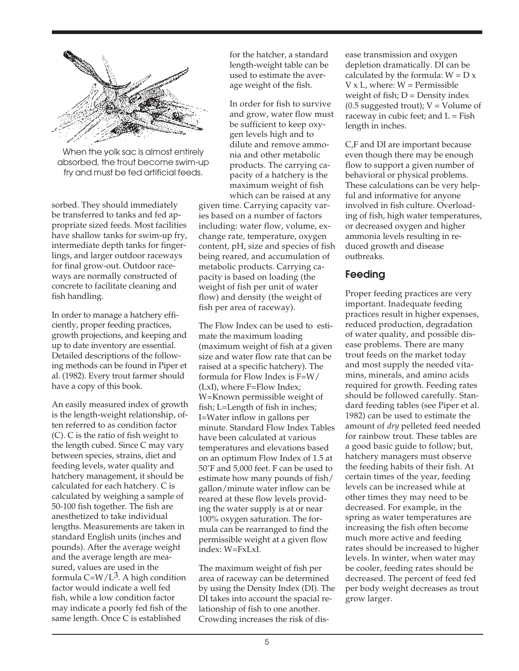

When the yolk sac is almost entirely absorbed, the trout become swim-up fry and must be fed artificial feeds.

sorbed. They should immediately be transferred to tanks and fed appropriate sized feeds. Most facilities have shallow tanks for swim-up fry, intermediate depth tanks for fingerlings, and larger outdoor raceways for final grow-out. Outdoor raceways are normally constructed of concrete to facilitate cleaning and fish handling.

In order to manage a hatchery efficiently, proper feeding practices, growth projections, and keeping and up to date inventory are essential. Detailed descriptions of the following methods can be found in Piper et al. (1982). Every trout farmer should have a copy of this book.

An easily measured index of growth is the length-weight relationship, often referred to as condition factor (C). C is the ratio of fish weight to the length cubed. Since C may vary between species, strains, diet and feeding levels, water quality and hatchery management, it should be calculated for each hatchery. C is calculated by weighing a sample of 50-100 fish together. The fish are anesthetized to take individual lengths. Measurements are taken in standard English units (inches and pounds). After the average weight and the average length are measured, values are used in the formula  $C= W/L<sup>3</sup>$ . A high condition factor would indicate a well fed fish, while a low condition factor may indicate a poorly fed fish of the same length. Once C is established

for the hatcher, a standard length-weight table can be used to estimate the average weight of the fish.

In order for fish to survive and grow, water flow must be sufficient to keep oxygen levels high and to dilute and remove ammonia and other metabolic products. The carrying capacity of a hatchery is the maximum weight of fish which can be raised at any

given time. Carrying capacity varies based on a number of factors including: water flow, volume, exchange rate, temperature, oxygen content, pH, size and species of fish being reared, and accumulation of metabolic products. Carrying capacity is based on loading (the weight of fish per unit of water flow) and density (the weight of fish per area of raceway).

The Flow Index can be used to estimate the maximum loading (maximum weight of fish at a given size and water flow rate that can be raised at a specific hatchery). The formula for Flow Index is F=W/ (LxI), where F=Flow Index; W=Known permissible weight of fish; L=Length of fish in inches; I=Water inflow in gallons per minute. Standard Flow Index Tables have been calculated at various temperatures and elevations based on an optimum Flow Index of 1.5 at 50˚F and 5,000 feet. F can be used to estimate how many pounds of fish/ gallon/minute water inflow can be reared at these flow levels providing the water supply is at or near 100% oxygen saturation. The formula can be rearranged to find the permissible weight at a given flow index: W=FxLxI.

The maximum weight of fish per area of raceway can be determined by using the Density Index (DI). The DI takes into account the spacial relationship of fish to one another. Crowding increases the risk of dis-

ease transmission and oxygen depletion dramatically. DI can be calculated by the formula:  $W = D x$  $V \times L$ , where:  $W =$  Permissible weight of fish; D = Density index  $(0.5$  suggested trout);  $V =$  Volume of raceway in cubic feet; and  $L = Fish$ length in inches.

C,F and DI are important because even though there may be enough flow to support a given number of behavioral or physical problems. These calculations can be very helpful and informative for anyone involved in fish culture. Overloading of fish, high water temperatures, or decreased oxygen and higher ammonia levels resulting in reduced growth and disease outbreaks.

#### **Feeding**

Proper feeding practices are very important. Inadequate feeding practices result in higher expenses, reduced production, degradation of water quality, and possible disease problems. There are many trout feeds on the market today and most supply the needed vitamins, minerals, and amino acids required for growth. Feeding rates should be followed carefully. Standard feeding tables (see Piper et al. 1982) can be used to estimate the amount of *dry* pelleted feed needed for rainbow trout. These tables are a good basic guide to follow; but, hatchery managers must observe the feeding habits of their fish. At certain times of the year, feeding levels can be increased while at other times they may need to be decreased. For example, in the spring as water temperatures are increasing the fish often become much more active and feeding rates should be increased to higher levels. In winter, when water may be cooler, feeding rates should be decreased. The percent of feed fed per body weight decreases as trout grow larger.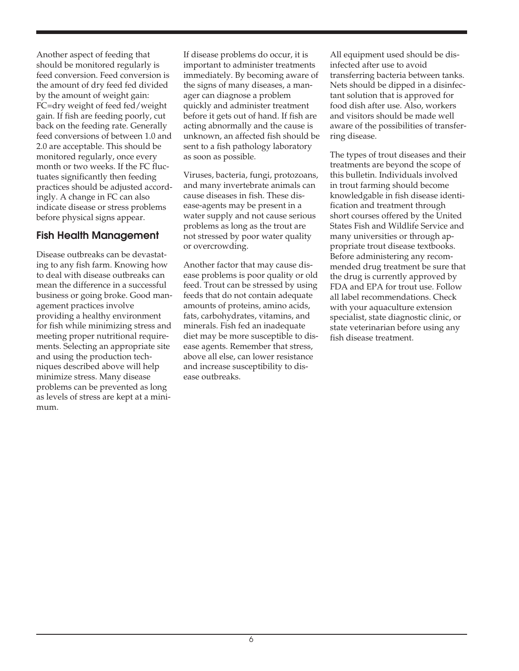Another aspect of feeding that should be monitored regularly is feed conversion. Feed conversion is the amount of dry feed fed divided by the amount of weight gain: FC=dry weight of feed fed/weight gain. If fish are feeding poorly, cut back on the feeding rate. Generally feed conversions of between 1.0 and 2.0 are acceptable. This should be monitored regularly, once every month or two weeks. If the FC fluctuates significantly then feeding practices should be adjusted accordingly. A change in FC can also indicate disease or stress problems before physical signs appear.

#### **Fish Health Management**

Disease outbreaks can be devastating to any fish farm. Knowing how to deal with disease outbreaks can mean the difference in a successful business or going broke. Good management practices involve providing a healthy environment for fish while minimizing stress and meeting proper nutritional requirements. Selecting an appropriate site and using the production techniques described above will help minimize stress. Many disease problems can be prevented as long as levels of stress are kept at a minimum.

If disease problems do occur, it is important to administer treatments immediately. By becoming aware of the signs of many diseases, a manager can diagnose a problem quickly and administer treatment before it gets out of hand. If fish are acting abnormally and the cause is unknown, an affected fish should be sent to a fish pathology laboratory as soon as possible.

Viruses, bacteria, fungi, protozoans, and many invertebrate animals can cause diseases in fish. These disease-agents may be present in a water supply and not cause serious problems as long as the trout are not stressed by poor water quality or overcrowding.

Another factor that may cause disease problems is poor quality or old feed. Trout can be stressed by using feeds that do not contain adequate amounts of proteins, amino acids, fats, carbohydrates, vitamins, and minerals. Fish fed an inadequate diet may be more susceptible to disease agents. Remember that stress, above all else, can lower resistance and increase susceptibility to disease outbreaks.

All equipment used should be disinfected after use to avoid transferring bacteria between tanks. Nets should be dipped in a disinfectant solution that is approved for food dish after use. Also, workers and visitors should be made well aware of the possibilities of transferring disease.

The types of trout diseases and their treatments are beyond the scope of this bulletin. Individuals involved in trout farming should become knowledgable in fish disease identification and treatment through short courses offered by the United States Fish and Wildlife Service and many universities or through appropriate trout disease textbooks. Before administering any recommended drug treatment be sure that the drug is currently approved by FDA and EPA for trout use. Follow all label recommendations. Check with your aquaculture extension specialist, state diagnostic clinic, or state veterinarian before using any fish disease treatment.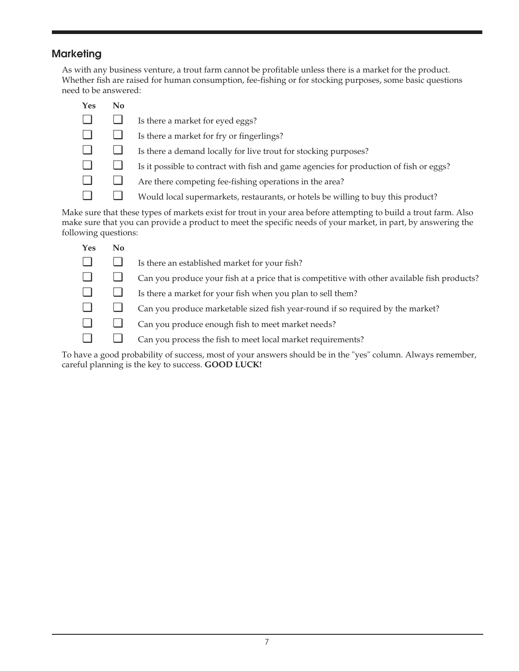## **Marketing**

As with any business venture, a trout farm cannot be profitable unless there is a market for the product. Whether fish are raised for human consumption, fee-fishing or for stocking purposes, some basic questions need to be answered:

| <b>Yes</b> | No. |                                                                                        |
|------------|-----|----------------------------------------------------------------------------------------|
|            |     | Is there a market for eyed eggs?                                                       |
|            |     | Is there a market for fry or fingerlings?                                              |
|            |     | Is there a demand locally for live trout for stocking purposes?                        |
|            |     | Is it possible to contract with fish and game agencies for production of fish or eggs? |
|            |     | Are there competing fee-fishing operations in the area?                                |
|            |     | Would local supermarkets, restaurants, or hotels be willing to buy this product?       |

Make sure that these types of markets exist for trout in your area before attempting to build a trout farm. Also make sure that you can provide a product to meet the specific needs of your market, in part, by answering the following questions:

| <b>Yes</b> | No |                                                                                              |
|------------|----|----------------------------------------------------------------------------------------------|
|            |    | Is there an established market for your fish?                                                |
|            |    | Can you produce your fish at a price that is competitive with other available fish products? |
|            |    | Is there a market for your fish when you plan to sell them?                                  |
|            |    | Can you produce marketable sized fish year-round if so required by the market?               |
|            |    | Can you produce enough fish to meet market needs?                                            |
|            |    | Can you process the fish to meet local market requirements?                                  |
|            |    |                                                                                              |

To have a good probability of success, most of your answers should be in the "yes" column. Always remember, careful planning is the key to success. **GOOD LUCK!**